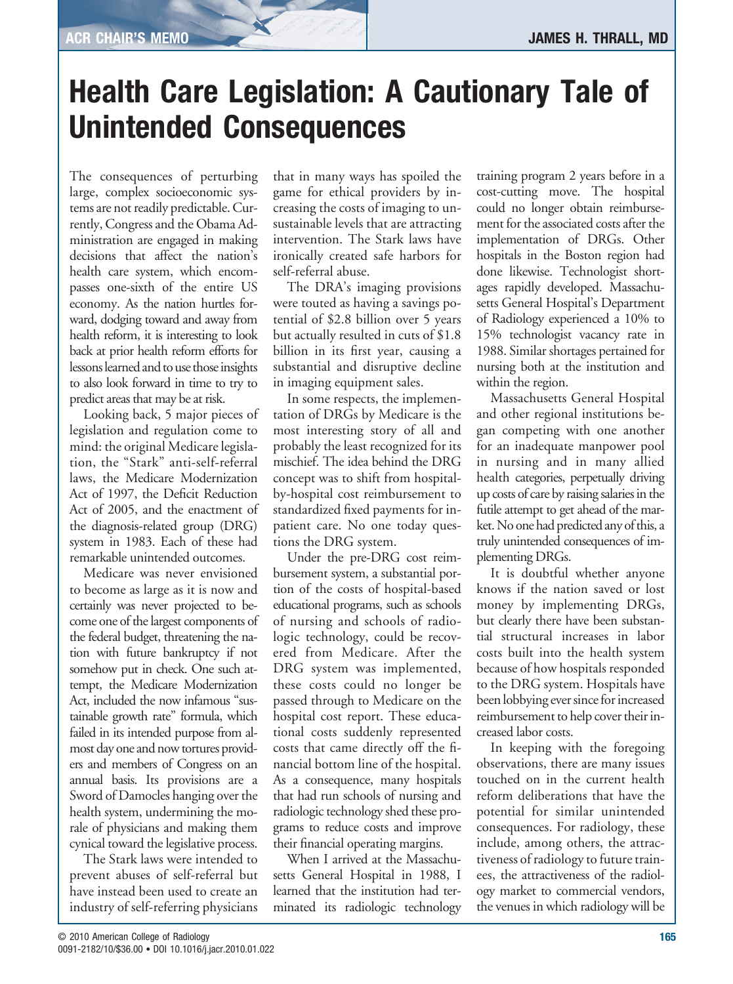## **Health Care Legislation: A Cautionary Tale of Unintended Consequences**

The consequences of perturbing large, complex socioeconomic systems are not readily predictable. Currently, Congress and the Obama Administration are engaged in making decisions that affect the nation's health care system, which encompasses one-sixth of the entire US economy. As the nation hurtles forward, dodging toward and away from health reform, it is interesting to look back at prior health reform efforts for lessons learned and to use those insights to also look forward in time to try to predict areas that may be at risk.

Looking back, 5 major pieces of legislation and regulation come to mind: the original Medicare legislation, the "Stark" anti-self-referral laws, the Medicare Modernization Act of 1997, the Deficit Reduction Act of 2005, and the enactment of the diagnosis-related group (DRG) system in 1983. Each of these had remarkable unintended outcomes.

Medicare was never envisioned to become as large as it is now and certainly was never projected to become one of the largest components of the federal budget, threatening the nation with future bankruptcy if not somehow put in check. One such attempt, the Medicare Modernization Act, included the now infamous "sustainable growth rate" formula, which failed in its intended purpose from almost day one and now tortures providers and members of Congress on an annual basis. Its provisions are a Sword of Damocles hanging over the health system, undermining the morale of physicians and making them cynical toward the legislative process.

The Stark laws were intended to prevent abuses of self-referral but have instead been used to create an industry of self-referring physicians

that in many ways has spoiled the game for ethical providers by increasing the costs of imaging to unsustainable levels that are attracting intervention. The Stark laws have ironically created safe harbors for self-referral abuse.

The DRA's imaging provisions were touted as having a savings potential of \$2.8 billion over 5 years but actually resulted in cuts of \$1.8 billion in its first year, causing a substantial and disruptive decline in imaging equipment sales.

In some respects, the implementation of DRGs by Medicare is the most interesting story of all and probably the least recognized for its mischief. The idea behind the DRG concept was to shift from hospitalby-hospital cost reimbursement to standardized fixed payments for inpatient care. No one today questions the DRG system.

Under the pre-DRG cost reimbursement system, a substantial portion of the costs of hospital-based educational programs, such as schools of nursing and schools of radiologic technology, could be recovered from Medicare. After the DRG system was implemented, these costs could no longer be passed through to Medicare on the hospital cost report. These educational costs suddenly represented costs that came directly off the financial bottom line of the hospital. As a consequence, many hospitals that had run schools of nursing and radiologic technology shed these programs to reduce costs and improve their financial operating margins.

When I arrived at the Massachusetts General Hospital in 1988, I learned that the institution had terminated its radiologic technology training program 2 years before in a cost-cutting move. The hospital could no longer obtain reimbursement for the associated costs after the implementation of DRGs. Other hospitals in the Boston region had done likewise. Technologist shortages rapidly developed. Massachusetts General Hospital's Department of Radiology experienced a 10% to 15% technologist vacancy rate in 1988. Similar shortages pertained for nursing both at the institution and within the region.

Massachusetts General Hospital and other regional institutions began competing with one another for an inadequate manpower pool in nursing and in many allied health categories, perpetually driving up costs of care by raising salaries in the futile attempt to get ahead of the market. No one had predicted any of this, a truly unintended consequences of implementing DRGs.

It is doubtful whether anyone knows if the nation saved or lost money by implementing DRGs, but clearly there have been substantial structural increases in labor costs built into the health system because of how hospitals responded to the DRG system. Hospitals have been lobbying ever since for increased reimbursement to help cover their increased labor costs.

In keeping with the foregoing observations, there are many issues touched on in the current health reform deliberations that have the potential for similar unintended consequences. For radiology, these include, among others, the attractiveness of radiology to future trainees, the attractiveness of the radiology market to commercial vendors, the venues in which radiology will be